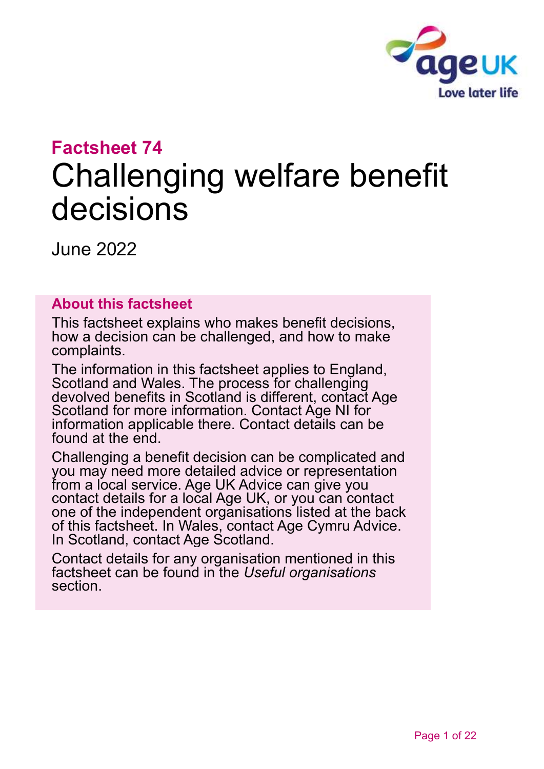

# **Factsheet 74** Challenging welfare benefit decisions

June 2022

## **About this factsheet**

This factsheet explains who makes benefit decisions, how a decision can be challenged, and how to make complaints.

The information in this factsheet applies to England, Scotland and Wales. The process for challenging devolved benefits in Scotland is different, [contact Age](#page-20-0)  [Scotland](#page-20-0) for more information. Contact [Age NI](#page-20-1) for information applicable there. Contact details can be found at the end.

Challenging a benefit decision can be complicated and you may need more detailed advice or representation from a local service. [Age UK Advice](#page-20-2) can give you contact details for a local Age UK, or you can contact one of the independent organisations listed at the back of this factsheet. In Wales, contact [Age Cymru Advice.](#page-20-3) In Scotland, [contact Age Scotland.](#page-20-0)

Contact details for any organisation mentioned in this factsheet can be found in the *[Useful organisations](#page-18-0)* section.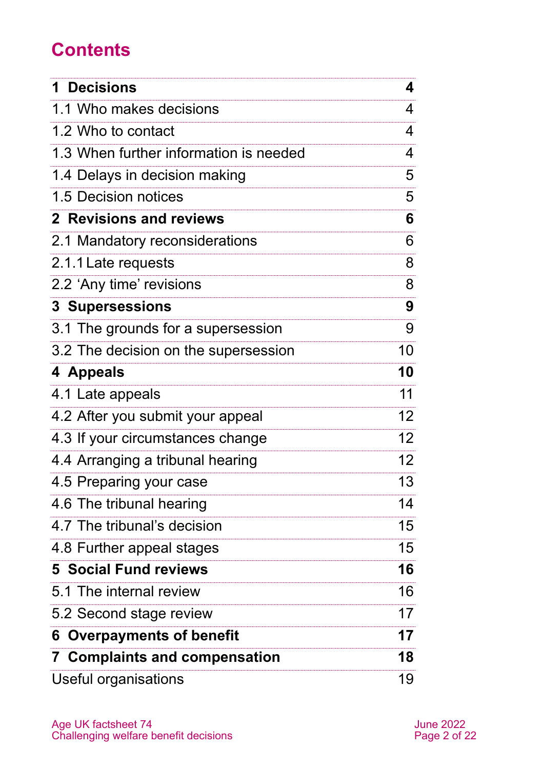# **Contents**

| <b>Decisions</b><br>1                  | 4               |
|----------------------------------------|-----------------|
| 1.1 Who makes decisions                | 4               |
| 1.2 Who to contact                     | 4               |
| 1.3 When further information is needed | 4               |
| 1.4 Delays in decision making          | 5               |
| 1.5 Decision notices                   | 5               |
| <b>2</b> Revisions and reviews         | 6               |
| 2.1 Mandatory reconsiderations         | 6               |
| 2.1.1 Late requests                    | 8               |
| 2.2 'Any time' revisions               | 8               |
| <b>3 Supersessions</b>                 | 9               |
| 3.1 The grounds for a supersession     | 9               |
| 3.2 The decision on the supersession   | 10              |
| 4 Appeals                              | 10              |
| 4.1 Late appeals                       | 11              |
| 4.2 After you submit your appeal       | 12 <sup>2</sup> |
| 4.3 If your circumstances change       | 12 <sup>2</sup> |
| 4.4 Arranging a tribunal hearing       | 12 <sup>2</sup> |
| 4.5 Preparing your case                | 13              |
| 4.6 The tribunal hearing               | 14              |
| 4.7 The tribunal's decision            | 15              |
| 4.8 Further appeal stages              | 15              |
| <b>5 Social Fund reviews</b>           | 16              |
| 5.1 The internal review                | 16              |
| 5.2 Second stage review                | 17              |
| <b>Overpayments of benefit</b><br>6    | 17              |
| <b>7 Complaints and compensation</b>   | 18              |
| Useful organisations                   | 19              |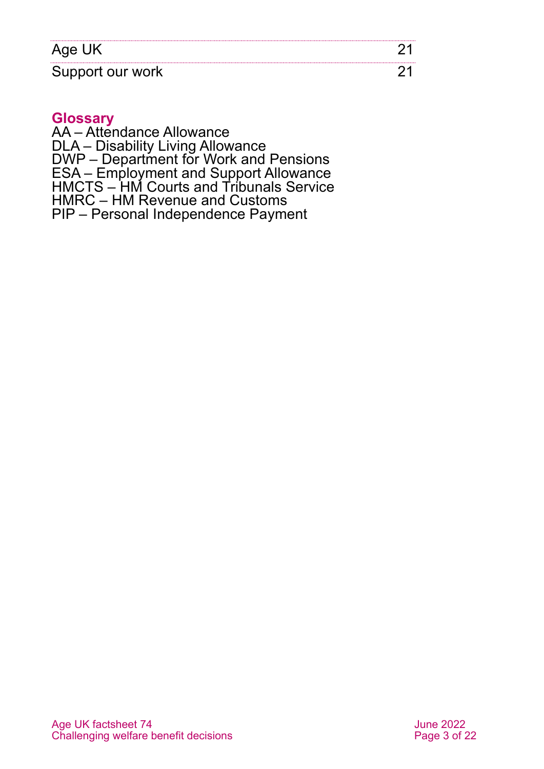| Age Ur           |  |
|------------------|--|
| Support our work |  |

#### **Glossary**

AA – Attendance Allowance DLA – Disability Living Allowance DWP – Department for Work and Pensions ESA – Employment and Support Allowance HMCTS – HM Courts and Tribunals Service HMRC – HM Revenue and Customs PIP – Personal Independence Payment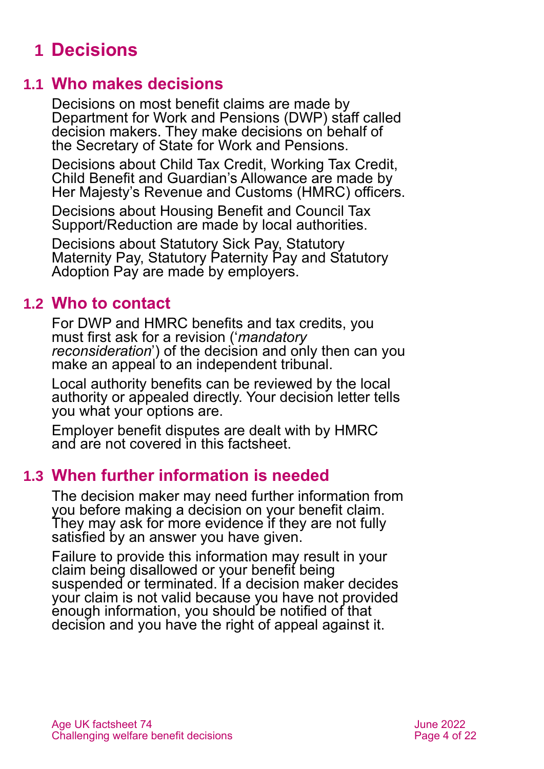# <span id="page-3-0"></span>**1 Decisions**

## **1.1 Who makes decisions**

Decisions on most benefit claims are made by Department for Work and Pensions (DWP) staff called decision makers. They make decisions on behalf of the Secretary of State for Work and Pensions.

Decisions about Child Tax Credit, Working Tax Credit, Child Benefit and Guardian's Allowance are made by Her Majesty's Revenue and Customs (HMRC) officers.

Decisions about Housing Benefit and Council Tax Support/Reduction are made by local authorities.

Decisions about Statutory Sick Pay, Statutory Maternity Pay, Statutory Paternity Pay and Statutory Adoption Pay are made by employers.

## **1.2 Who to contact**

For DWP and HMRC benefits and tax credits, you must first ask for a revision ('*mandatory reconsideration*') of the decision and only then can you make an appeal to an independent tribunal.

Local authority benefits can be reviewed by the local authority or appealed directly. Your decision letter tells you what your options are.

Employer benefit disputes are dealt with by HMRC and are not covered in this factsheet.

## **1.3 When further information is needed**

The decision maker may need further information from you before making a decision on your benefit claim. They may ask for more evidence if they are not fully satisfied by an answer you have given.

Failure to provide this information may result in your claim being disallowed or your benefit being suspended or terminated. If a decision maker decides your claim is not valid because you have not provided enough information, you should be notified of that decision and you have the right of appeal against it.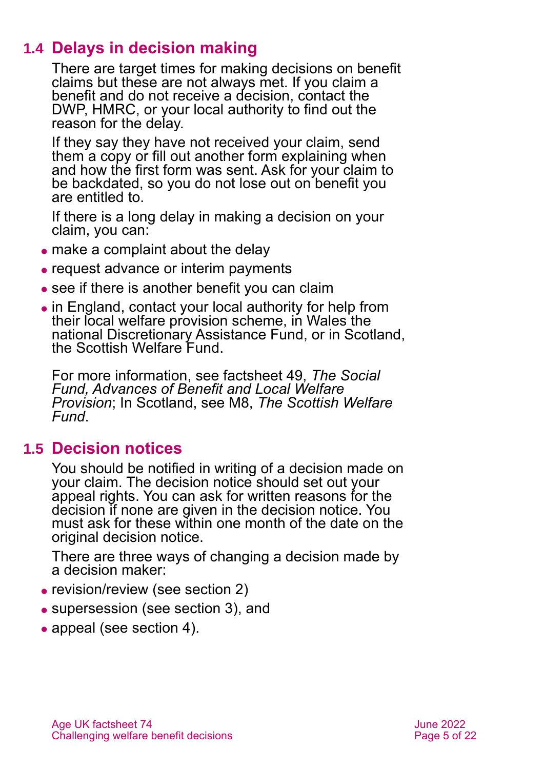# **1.4 Delays in decision making**

There are target times for making decisions on benefit claims but these are not always met. If you claim a benefit and do not receive a decision, contact the DWP, HMRC, or your local authority to find out the reason for the delay.

If they say they have not received your claim, send them a copy or fill out another form explaining when and how the first form was sent. Ask for your claim to be backdated, so you do not lose out on benefit you are entitled to.

If there is a long delay in making a decision on your claim, you can:

- make a complaint about the delay
- request advance or interim payments
- see if there is another benefit you can claim
- ⚫ in England, contact your local authority for help from their local welfare provision scheme, in Wales the national Discretionary Assistance Fund, or in Scotland, the Scottish Welfare Fund.

For more information, see [factsheet 49,](https://www.ageuk.org.uk/globalassets/age-uk/documents/factsheets/fs49_the_social_fund_advances_of_benefit_and_local_welfare_provision_fcs.pdf) *The Social [Fund, Advances of Benefit and Local Welfare](https://www.ageuk.org.uk/globalassets/age-uk/documents/factsheets/fs49_the_social_fund_advances_of_benefit_and_local_welfare_provision_fcs.pdf)  [Provision](https://www.ageuk.org.uk/globalassets/age-uk/documents/factsheets/fs49_the_social_fund_advances_of_benefit_and_local_welfare_provision_fcs.pdf)*; In Scotland, see M8, *[The Scottish Welfare](https://www.ageuk.org.uk/scotland/information-advice/benefits/scottish-welfare-fund/)  [Fund](https://www.ageuk.org.uk/scotland/information-advice/benefits/scottish-welfare-fund/)*.

## **1.5 Decision notices**

You should be notified in writing of a decision made on your claim. The decision notice should set out your appeal rights. You can ask for written reasons for the decision if none are given in the decision notice. You must ask for these within one month of the date on the original decision notice.

There are three ways of changing a decision made by a decision maker:

- revision/review [\(see section 2\)](#page-5-0)
- supersession [\(see section 3\)](#page-8-0), and
- appeal [\(see section 4\)](#page-9-0).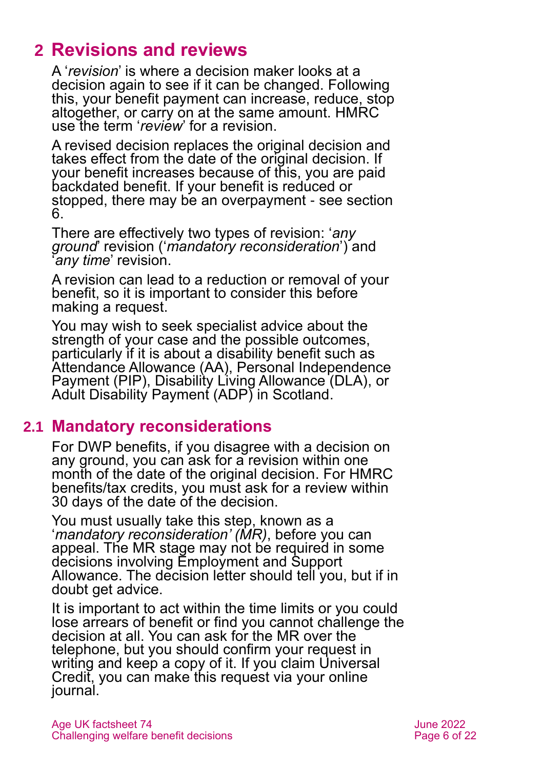# <span id="page-5-0"></span>**2 Revisions and reviews**

A '*revision*' is where a decision maker looks at a decision again to see if it can be changed. Following this, your benefit payment can increase, reduce, stop altogether, or carry on at the same amount. HMRC use the term '*review*' for a revision.

A revised decision replaces the original decision and takes effect from the date of the original decision. If your benefit increases because of this, you are paid backdated benefit. If your benefit is reduced or stopped, there may be an overpayment - see [section](#page-16-0)  [6.](#page-16-0)

There are effectively two types of revision: '*any ground*' revision ('*mandatory reconsideration*') and '*any time*' revision.

A revision can lead to a reduction or removal of your benefit, so it is important to consider this before making a request.

You may wish to seek specialist advice about the strength of your case and the possible outcomes, particularly if it is about a disability benefit such as Attendance Allowance (AA), Personal Independence Payment (PIP), Disability Living Allowance (DLA), or Adult Disability Payment (ADP) in Scotland.

## <span id="page-5-1"></span>**2.1 Mandatory reconsiderations**

For DWP benefits, if you disagree with a decision on any ground, you can ask for a revision within one month of the date of the original decision. For HMRC benefits/tax credits, you must ask for a review within 30 days of the date of the decision.

You must usually take this step, known as a '*mandatory reconsideration' (MR)*, before you can appeal. The MR stage may not be required in some decisions involving Employment and Support Allowance. The decision letter should tell you, but if in doubt get advice.

It is important to act within the time limits or you could lose arrears of benefit or find you cannot challenge the decision at all. You can ask for the MR over the telephone, but you should confirm your request in writing and keep a copy of it. If you claim Universal Credit, you can make this request via your online journal.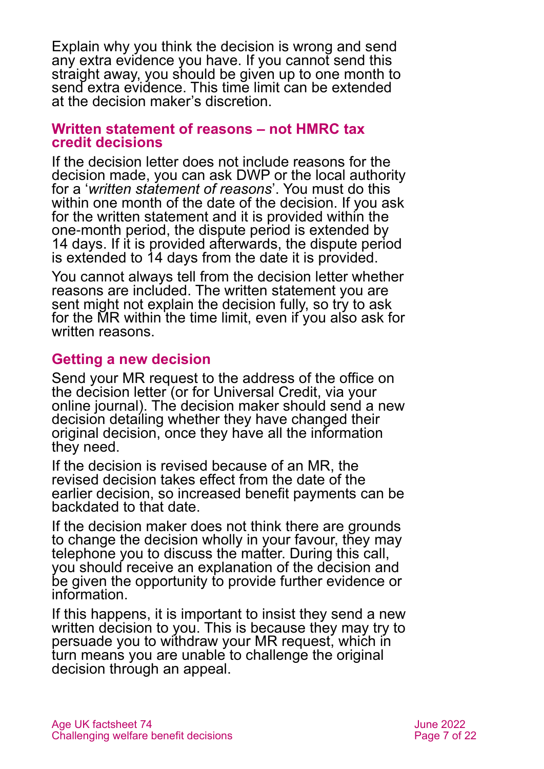Explain why you think the decision is wrong and send any extra evidence you have. If you cannot send this straight away, you should be given up to one month to send extra evidence. This time limit can be extended at the decision maker's discretion.

#### **Written statement of reasons – not HMRC tax credit decisions**

If the decision letter does not include reasons for the decision made, you can ask DWP or the local authority for a '*written statement of reasons*'. You must do this within one month of the date of the decision. If you ask for the written statement and it is provided within the one-month period, the dispute period is extended by 14 days. If it is provided afterwards, the dispute period is extended to 14 days from the date it is provided.

You cannot always tell from the decision letter whether reasons are included. The written statement you are sent might not explain the decision fully, so try to ask for the MR within the time limit, even if you also ask for written reasons.

### **Getting a new decision**

Send your MR request to the address of the office on the decision letter (or for Universal Credit, via your online journal). The decision maker should send a new decision detailing whether they have changed their original decision, once they have all the information they need.

If the decision is revised because of an MR, the revised decision takes effect from the date of the earlier decision, so increased benefit payments can be backdated to that date.

If the decision maker does not think there are grounds to change the decision wholly in your favour, they may telephone you to discuss the matter. During this call, you should receive an explanation of the decision and be given the opportunity to provide further evidence or information.

If this happens, it is important to insist they send a new written decision to you. This is because they may try to persuade you to withdraw your MR request, which in turn means you are unable to challenge the original decision through an appeal.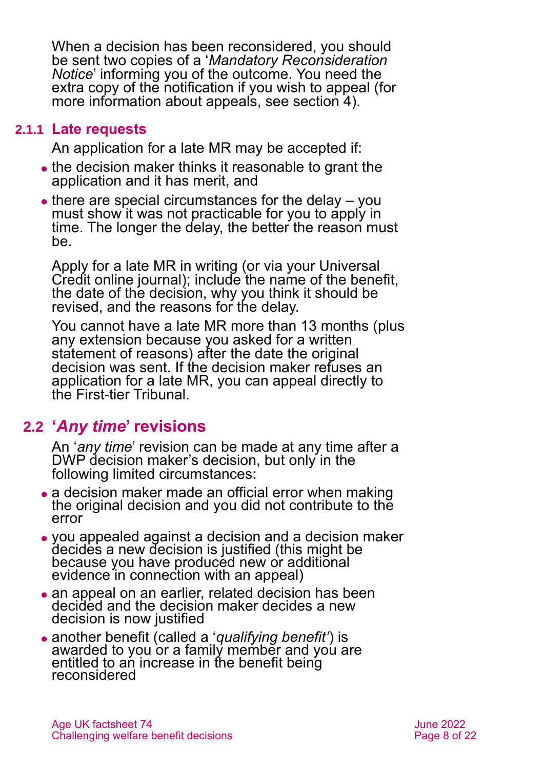When a decision has been reconsidered, you should be sent two copies of a '*Mandatory Reconsideration Notice*' informing you of the outcome. You need the extra copy of the notification if you wish to appeal (for more information about appeals, see [section 4\)](#page-9-0).

#### **2.1.1 Late requests**

An application for a late MR may be accepted if:

- ⚫ the decision maker thinks it reasonable to grant the application and it has merit, and
- $\bullet$  there are special circumstances for the delay  $-$  you must show it was not practicable for you to apply in time. The longer the delay, the better the reason must be.

Apply for a late MR in writing (or via your Universal Credit online journal); include the name of the benefit, the date of the decision, why you think it should be revised, and the reasons for the delay.

You cannot have a late MR more than 13 months (plus any extension because you asked for a written statement of reasons) after the date the original decision was sent. If the decision maker refuses an application for a late MR, you can appeal directly to the First-tier Tribunal.

## <span id="page-7-0"></span>**2.2 '***Any time***' revisions**

An '*any time*' revision can be made at any time after a DWP decision maker's decision, but only in the following limited circumstances:

- a decision maker made an official error when making the original decision and you did not contribute to the error
- ⚫ you appealed against a decision and a decision maker decides a new decision is justified (this might be because you have produced new or additional evidence in connection with an appeal)
- an appeal on an earlier, related decision has been decided and the decision maker decides a new decision is now justified
- ⚫ another benefit (called a '*qualifying benefit'*) is awarded to you or a family member and you are entitled to an increase in the benefit being reconsidered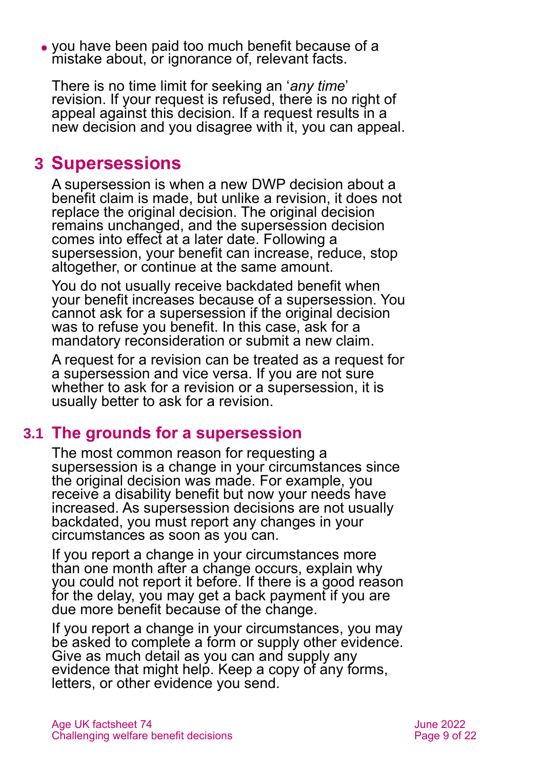⚫ you have been paid too much benefit because of a mistake about, or ignorance of, relevant facts.

There is no time limit for seeking an '*any time*' revision. If your request is refused, there is no right of appeal against this decision. If a request results in a new decision and you disagree with it, you can appeal.

# <span id="page-8-0"></span>**3 Supersessions**

A supersession is when a new DWP decision about a benefit claim is made, but unlike a revision, it does not replace the original decision. The original decision remains unchanged, and the supersession decision comes into effect at a later date. Following a supersession, your benefit can increase, reduce, stop altogether, or continue at the same amount.

You do not usually receive backdated benefit when your benefit increases because of a supersession. You cannot ask for a supersession if the original decision was to refuse you benefit. In this case, ask for a mandatory reconsideration or submit a new claim.

A request for a revision can be treated as a request for a supersession and vice versa. If you are not sure whether to ask for a revision or a supersession, it is usually better to ask for a revision.

## **3.1 The grounds for a supersession**

The most common reason for requesting a supersession is a change in your circumstances since the original decision was made. For example, you receive a disability benefit but now your needs have increased. As supersession decisions are not usually backdated, you must report any changes in your circumstances as soon as you can.

If you report a change in your circumstances more than one month after a change occurs, explain why you could not report it before. If there is a good reason for the delay, you may get a back payment if you are due more benefit because of the change.

If you report a change in your circumstances, you may be asked to complete a form or supply other evidence. Give as much detail as you can and supply any evidence that might help. Keep a copy of any forms, letters, or other evidence you send.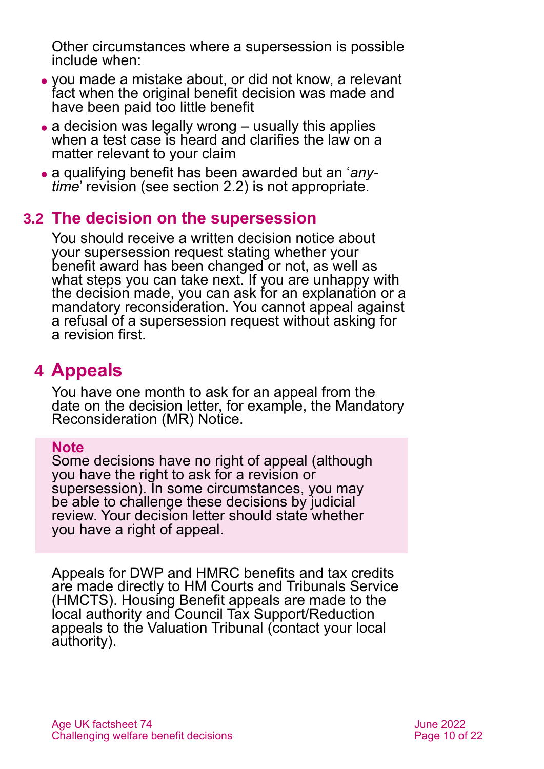Other circumstances where a supersession is possible include when:

- ⚫ you made a mistake about, or did not know, a relevant fact when the original benefit decision was made and have been paid too little benefit
- $\bullet$  a decision was legally wrong  $-$  usually this applies when a test case is heard and clarifies the law on a matter relevant to your claim
- ⚫ a qualifying benefit has been awarded but an '*anytime*' revision (see [section 2.2\)](#page-7-0) is not appropriate.

## **3.2 The decision on the supersession**

You should receive a written decision notice about your supersession request stating whether your benefit award has been changed or not, as well as what steps you can take next. If you are unhappy with the decision made, you can ask for an explanation or a mandatory reconsideration. You cannot appeal against a refusal of a supersession request without asking for a revision first.

# <span id="page-9-0"></span>**4 Appeals**

You have one month to ask for an appeal from the date on the decision letter, for example, the Mandatory Reconsideration (MR) Notice.

#### **Note**

Some decisions have no right of appeal (although you have the right to ask for a revision or supersession). In some circumstances, you may be able to challenge these decisions by judicial review. Your decision letter should state whether you have a right of appeal.

Appeals for DWP and HMRC benefits and tax credits are made directly to HM Courts and Tribunals Service (HMCTS). Housing Benefit appeals are made to the local authority and Council Tax Support/Reduction appeals to the Valuation Tribunal (contact your local authority).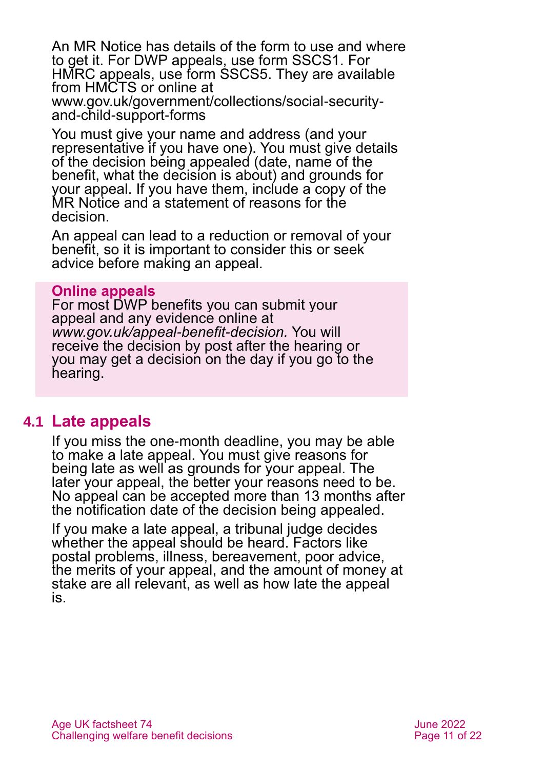An MR Notice has details of the form to use and where to get it. For DWP appeals, use form [SSCS1.](https://www.gov.uk/government/publications/appeal-a-social-security-benefits-decision-form-sscs1) For HMRC appeals, use form [SSCS5.](https://www.gov.uk/government/publications/appeal-a-tax-credit-child-benefit-or-guardians-allowance-decision-form-sscs5) They are available from HMCTS or online at [www.gov.uk/government/collections/social-security](http://www.gov.uk/government/collections/social-security-and-child-support-forms)[and-child-support-forms](http://www.gov.uk/government/collections/social-security-and-child-support-forms)

You must give your name and address (and your representative if you have one). You must give details of the decision being appealed (date, name of the benefit, what the decision is about) and grounds for your appeal. If you have them, include a copy of the MR Notice and a statement of reasons for the decision.

An appeal can lead to a reduction or removal of your benefit, so it is important to consider this or seek advice before making an appeal.

#### **Online appeals**

For most DWP benefits you can submit your appeal and any evidence online at *[www.gov.uk/appeal](http://www.gov.uk/appeal-benefit-decision)-benefit-decision.* You will receive the decision by post after the hearing or you may get a decision on the day if you go to the hearing.

### **4.1 Late appeals**

If you miss the one-month deadline, you may be able to make a late appeal. You must give reasons for being late as well as grounds for your appeal. The later your appeal, the better your reasons need to be. No appeal can be accepted more than 13 months after the notification date of the decision being appealed.

If you make a late appeal, a tribunal judge decides whether the appeal should be heard. Factors like postal problems, illness, bereavement, poor advice, the merits of your appeal, and the amount of money at stake are all relevant, as well as how late the appeal is.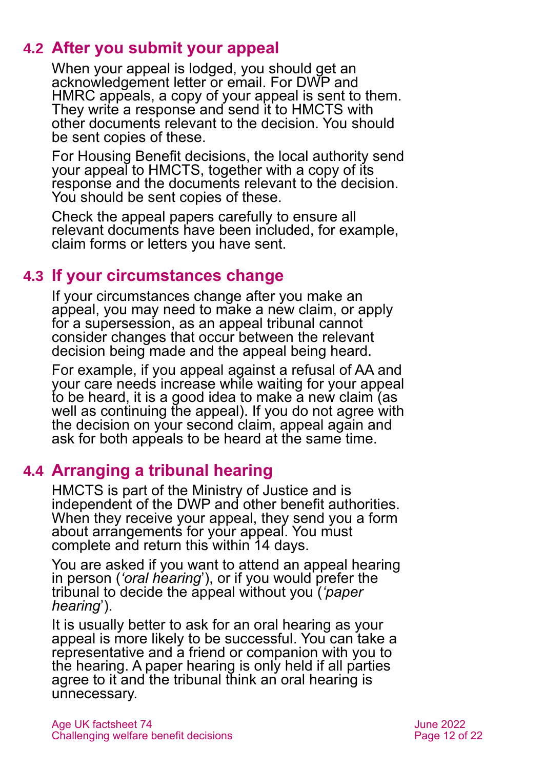## **4.2 After you submit your appeal**

When your appeal is lodged, you should get an acknowledgement letter or email. For DWP and HMRC appeals, a copy of your appeal is sent to them. They write a response and send it to HMCTS with other documents relevant to the decision. You should be sent copies of these.

For Housing Benefit decisions, the local authority send your appeal to HMCTS, together with a copy of its response and the documents relevant to the decision. You should be sent copies of these.

Check the appeal papers carefully to ensure all relevant documents have been included, for example, claim forms or letters you have sent.

# **4.3 If your circumstances change**

If your circumstances change after you make an appeal, you may need to make a new claim, or apply for a supersession, as an appeal tribunal cannot consider changes that occur between the relevant decision being made and the appeal being heard.

For example, if you appeal against a refusal of AA and your care needs increase while waiting for your appeal to be heard, it is a good idea to make a new claim (as well as continuing the appeal). If you do not agree with the decision on your second claim, appeal again and ask for both appeals to be heard at the same time.

# **4.4 Arranging a tribunal hearing**

HMCTS is part of the Ministry of Justice and is independent of the DWP and other benefit authorities. When they receive your appeal, they send you a form about arrangements for your appeal. You must complete and return this within 14 days.

You are asked if you want to attend an appeal hearing in person (*'oral hearing*'), or if you would prefer the tribunal to decide the appeal without you (*'paper hearing*').

It is usually better to ask for an oral hearing as your appeal is more likely to be successful. You can take a representative and a friend or companion with you to the hearing. A paper hearing is only held if all parties agree to it and the tribunal think an oral hearing is unnecessary.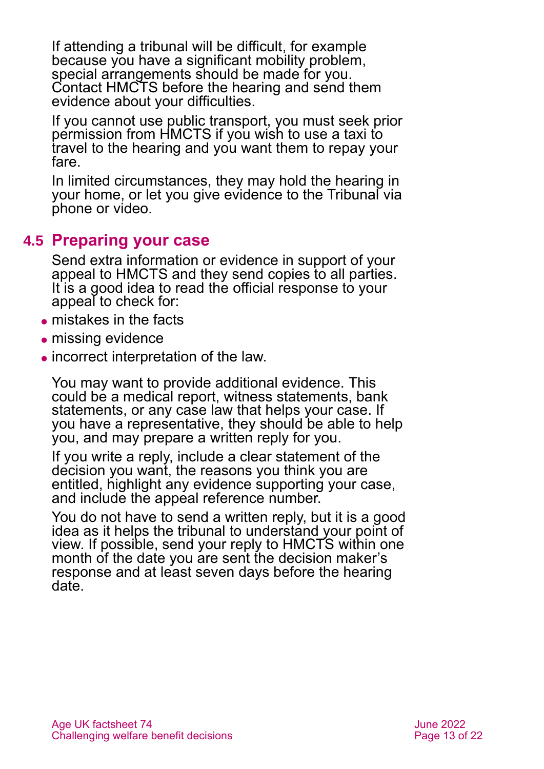If attending a tribunal will be difficult, for example because you have a significant mobility problem, special arrangements should be made for you. Contact HMCTS before the hearing and send them evidence about your difficulties.

If you cannot use public transport, you must seek prior permission from HMCTS if you wish to use a taxi to travel to the hearing and you want them to repay your fare.

In limited circumstances, they may hold the hearing in your home, or let you give evidence to the Tribunal via phone or video.

## **4.5 Preparing your case**

Send extra information or evidence in support of your appeal to HMCTS and they send copies to all parties. It is a good idea to read the official response to your appeal to check for:

- ⚫ mistakes in the facts
- missing evidence
- ⚫ incorrect interpretation of the law.

You may want to provide additional evidence. This could be a medical report, witness statements, bank statements, or any case law that helps your case. If you have a representative, they should be able to help you, and may prepare a written reply for you.

If you write a reply, include a clear statement of the decision you want, the reasons you think you are entitled, highlight any evidence supporting your case, and include the appeal reference number.

You do not have to send a written reply, but it is a good idea as it helps the tribunal to understand your point of view. If possible, send your reply to HMCTS within one month of the date you are sent the decision maker's response and at least seven days before the hearing date.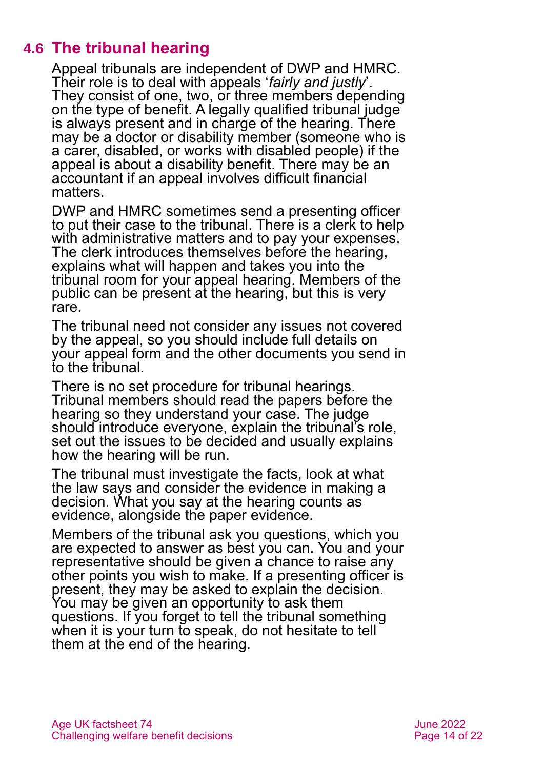# **4.6 The tribunal hearing**

Appeal tribunals are independent of DWP and HMRC. Their role is to deal with appeals '*fairly and justly*'. They consist of one, two, or three members depending on the type of benefit. A legally qualified tribunal judge is always present and in charge of the hearing. There may be a doctor or disability member (someone who is a carer, disabled, or works with disabled people) if the appeal is about a disability benefit. There may be an accountant if an appeal involves difficult financial matters.

DWP and HMRC sometimes send a presenting officer to put their case to the tribunal. There is a clerk to help with administrative matters and to pay your expenses. The clerk introduces themselves before the hearing, explains what will happen and takes you into the tribunal room for your appeal hearing. Members of the public can be present at the hearing, but this is very rare.

The tribunal need not consider any issues not covered by the appeal, so you should include full details on your appeal form and the other documents you send in to the tribunal.

There is no set procedure for tribunal hearings. Tribunal members should read the papers before the hearing so they understand your case. The judge should introduce everyone, explain the tribunal's role, set out the issues to be decided and usually explains how the hearing will be run.

The tribunal must investigate the facts, look at what the law says and consider the evidence in making a decision. What you say at the hearing counts as evidence, alongside the paper evidence.

Members of the tribunal ask you questions, which you are expected to answer as best you can. You and your representative should be given a chance to raise any other points you wish to make. If a presenting officer is present, they may be asked to explain the decision. You may be given an opportunity to ask them questions. If you forget to tell the tribunal something when it is your turn to speak, do not hesitate to tell them at the end of the hearing.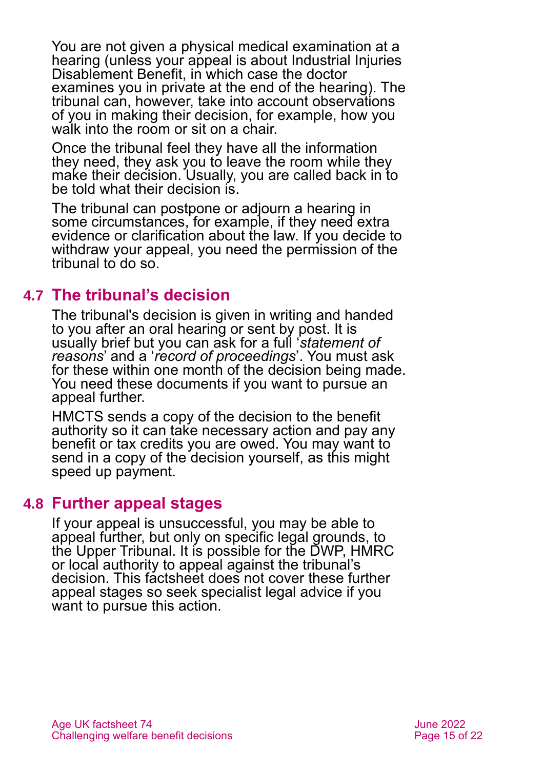You are not given a physical medical examination at a hearing (unless your appeal is about Industrial Injuries Disablement Benefit, in which case the doctor examines you in private at the end of the hearing). The tribunal can, however, take into account observations of you in making their decision, for example, how you walk into the room or sit on a chair.

Once the tribunal feel they have all the information they need, they ask you to leave the room while they make their decision. Usually, you are called back in to be told what their decision is.

The tribunal can postpone or adjourn a hearing in some circumstances, for example, if they need extra evidence or clarification about the law. If you decide to withdraw your appeal, you need the permission of the tribunal to do so.

## **4.7 The tribunal's decision**

The tribunal's decision is given in writing and handed to you after an oral hearing or sent by post. It is usually brief but you can ask for a full '*statement of reasons*' and a '*record of proceedings*'. You must ask for these within one month of the decision being made. You need these documents if you want to pursue an appeal further.

HMCTS sends a copy of the decision to the benefit authority so it can take necessary action and pay any benefit or tax credits you are owed. You may want to send in a copy of the decision yourself, as this might speed up payment.

### **4.8 Further appeal stages**

If your appeal is unsuccessful, you may be able to appeal further, but only on specific legal grounds, to the Upper Tribunal. It is possible for the DWP, HMRC or local authority to appeal against the tribunal's decision. This factsheet does not cover these further appeal stages so seek specialist legal advice if you want to pursue this action.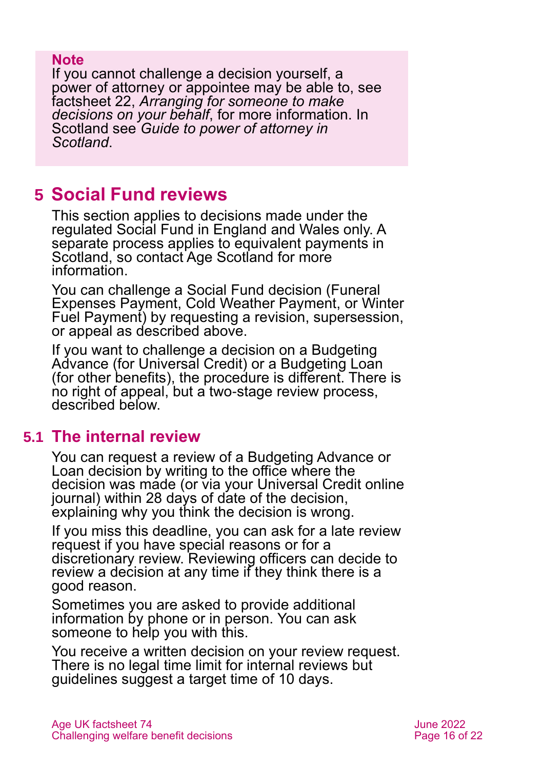#### **Note**

If you cannot challenge a decision yourself, a power of attorney or appointee may be able to, see factsheet 22, *[Arranging for someone to make](https://www.ageuk.org.uk/globalassets/age-uk/documents/factsheets/fs22_arranging_for_someone_to_make_decisions_on_your_behalf_fcs.pdf)  [decisions on your behalf](https://www.ageuk.org.uk/globalassets/age-uk/documents/factsheets/fs22_arranging_for_someone_to_make_decisions_on_your_behalf_fcs.pdf)*, for more information. In Scotland see *[Guide to power of attorney in](https://www.ageuk.org.uk/scotland/information-advice/legal-and-family-issues/power-of-attorney-and-mental-capacity/)  [Scotland](https://www.ageuk.org.uk/scotland/information-advice/legal-and-family-issues/power-of-attorney-and-mental-capacity/)*.

# <span id="page-15-0"></span>**5 Social Fund reviews**

This section applies to decisions made under the regulated Social Fund in England and Wales only. A separate process applies to equivalent payments in Scotland, so contact Age Scotland for more information.

You can challenge a Social Fund decision (Funeral Expenses Payment, Cold Weather Payment, or Winter Fuel Payment) by requesting a revision, supersession, or appeal as described above.

If you want to challenge a decision on a Budgeting Advance (for Universal Credit) or a Budgeting Loan (for other benefits), the procedure is different. There is no right of appeal, but a two-stage review process, described below.

## **5.1 The internal review**

You can request a review of a Budgeting Advance or Loan decision by writing to the office where the decision was made (or via your Universal Credit online journal) within 28 days of date of the decision, explaining why you think the decision is wrong.

If you miss this deadline, you can ask for a late review request if you have special reasons or for a discretionary review. Reviewing officers can decide to review a decision at any time if they think there is a good reason.

Sometimes you are asked to provide additional information by phone or in person. You can ask someone to help you with this.

You receive a written decision on your review request. There is no legal time limit for internal reviews but guidelines suggest a target time of 10 days.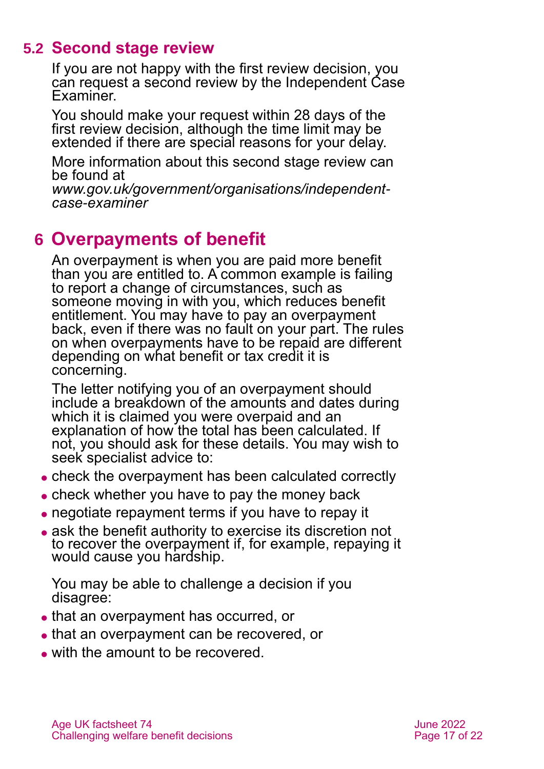# **5.2 Second stage review**

If you are not happy with the first review decision, you can request a second review by the Independent Case **Examiner** 

You should make your request within 28 days of the first review decision, although the time limit may be extended if there are special reasons for your delay.

More information about this second stage review can be found at

*[www.gov.uk/government/organisations/independent](http://www.gov.uk/government/organisations/independent-case-examiner)case-[examiner](http://www.gov.uk/government/organisations/independent-case-examiner)*

# <span id="page-16-0"></span>**6 Overpayments of benefit**

An overpayment is when you are paid more benefit than you are entitled to. A common example is failing to report a change of circumstances, such as someone moving in with you, which reduces benefit entitlement. You may have to pay an overpayment back, even if there was no fault on your part. The rules on when overpayments have to be repaid are different depending on what benefit or tax credit it is concerning.

The letter notifying you of an overpayment should include a breakdown of the amounts and dates during which it is claimed you were overpaid and an explanation of how the total has been calculated. If not, you should ask for these details. You may wish to seek specialist advice to:

- ⚫ check the overpayment has been calculated correctly
- ⚫ check whether you have to pay the money back
- ⚫ negotiate repayment terms if you have to repay it
- ⚫ ask the benefit authority to exercise its discretion not to recover the overpayment if, for example, repaying it would cause you hardship.

You may be able to challenge a decision if you disagree:

- ⚫ that an overpayment has occurred, or
- that an overpayment can be recovered, or
- ⚫ with the amount to be recovered.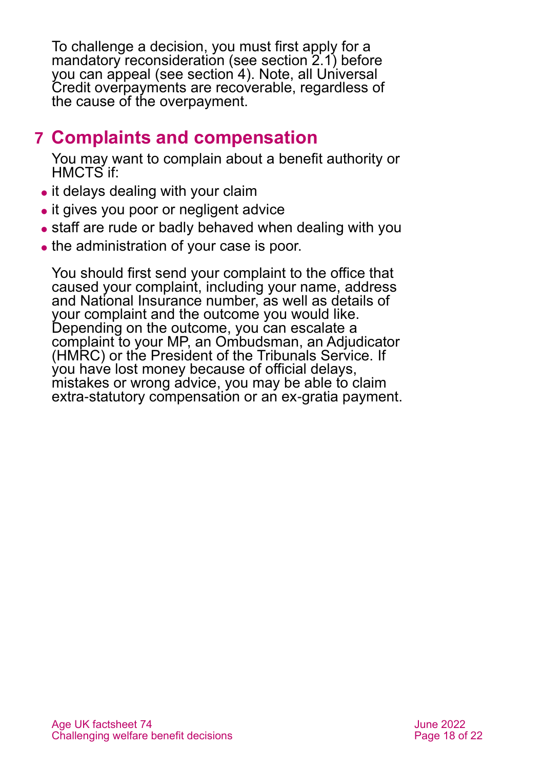To challenge a decision, you must first apply for a mandatory reconsideration (see [section 2.1\)](#page-5-1) before you can appeal (see [section 4\)](#page-9-0). Note, all Universal Credit overpayments are recoverable, regardless of the cause of the overpayment.

# <span id="page-17-0"></span>**7 Complaints and compensation**

You may want to complain about a benefit authority or HMCTS if:

- it delays dealing with your claim
- it gives you poor or negligent advice
- staff are rude or badly behaved when dealing with you
- the administration of your case is poor.

You should first send your complaint to the office that caused your complaint, including your name, address and National Insurance number, as well as details of your complaint and the outcome you would like. Depending on the outcome, you can escalate a complaint to your MP, an Ombudsman, an Adjudicator (HMRC) or the President of the Tribunals Service. If you have lost money because of official delays, mistakes or wrong advice, you may be able to claim extra-statutory compensation or an ex-gratia payment.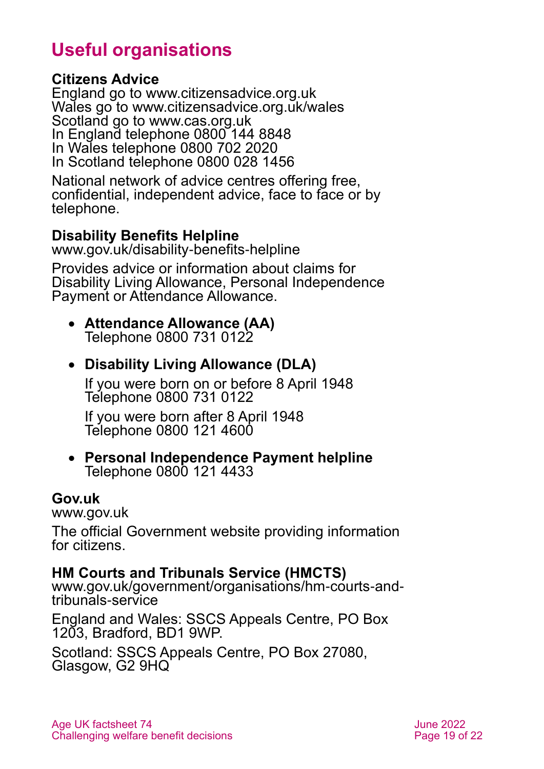# **Useful organisations**

#### <span id="page-18-0"></span>**Citizens Advice**

England go to [www.citizensadvice.org.uk](http://www.citizensadvice.org.uk/) Wales go to [www.citizensadvice.org.uk/wales](http://www.citizensadvice.org.uk/wales) Scotland go to [www.cas.org.uk](http://www.cas.org.uk/) In England telephone 0800 144 8848 In Wales telephone 0800 702 2020 In Scotland telephone 0800 028 1456

National network of advice centres offering free, confidential, independent advice, face to face or by telephone.

## **Disability Benefits Helpline**

[www.gov.uk/disability-benefits-helpline](http://www.gov.uk/disability-benefits-helpline)

Provides advice or information about claims for Disability Living Allowance, Personal Independence Payment or Attendance Allowance.

#### • **Attendance Allowance (AA)** Telephone 0800 731 0122

## • **Disability Living Allowance (DLA)**

If you were born on or before 8 April 1948 Telephone 0800 731 0122

If you were born after 8 April 1948 Telephone 0800 121 4600

#### • **Personal Independence Payment helpline** Telephone 0800 121 4433

#### **Gov.uk**

[www.gov.uk](http://www.gov.uk/)

The official Government website providing information for citizens.

### **HM Courts and Tribunals Service (HMCTS)**

[www.gov.uk/government/organisations/hm-courts-and](http://www.gov.uk/government/organisations/hm-courts-and-tribunals-service)[tribunals-service](http://www.gov.uk/government/organisations/hm-courts-and-tribunals-service)

England and Wales: SSCS Appeals Centre, PO Box 1203, Bradford, BD1 9WP.

Scotland: SSCS Appeals Centre, PO Box 27080, Glasgow, G2 9HQ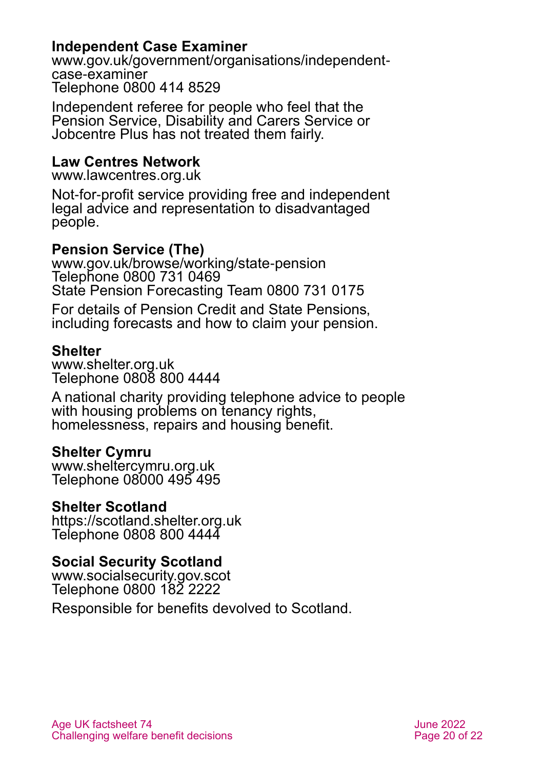#### **Independent Case Examiner**

[www.gov.uk/government/organisations/independent](http://www.gov.uk/government/organisations/independent-case-examiner)[case-examiner](http://www.gov.uk/government/organisations/independent-case-examiner) Telephone 0800 414 8529

Independent referee for people who feel that the Pension Service, Disability and Carers Service or Jobcentre Plus has not treated them fairly.

#### **Law Centres Network**

[www.lawcentres.org.uk](http://www.lawcentres.org.uk/)

Not-for-profit service providing free and independent legal advice and representation to disadvantaged people.

### **Pension Service (The)**

[www.gov.uk/browse/working/state-pension](http://www.gov.uk/browse/working/state-pension) Telephone 0800 731 0469 State Pension Forecasting Team 0800 731 0175

For details of Pension Credit and State Pensions, including forecasts and how to claim your pension.

#### **Shelter**

[www.shelter.org.uk](http://www.shelter.org.uk/) Telephone 0808 800 4444

A national charity providing telephone advice to people with housing problems on tenancy rights, homelessness, repairs and housing benefit.

#### **Shelter Cymru**

[www.sheltercymru.org.uk](http://www.sheltercymru.org.uk/) Telephone 08000 495 495

#### **Shelter Scotland**

[https://scotland.shelter.org.uk](https://scotland.shelter.org.uk/) Telephone 0808 800 4444

#### **Social Security Scotland**

[www.socialsecurity.gov.scot](http://www.socialsecurity.gov.scot/) Telephone 0800 182 2222

Responsible for benefits devolved to Scotland.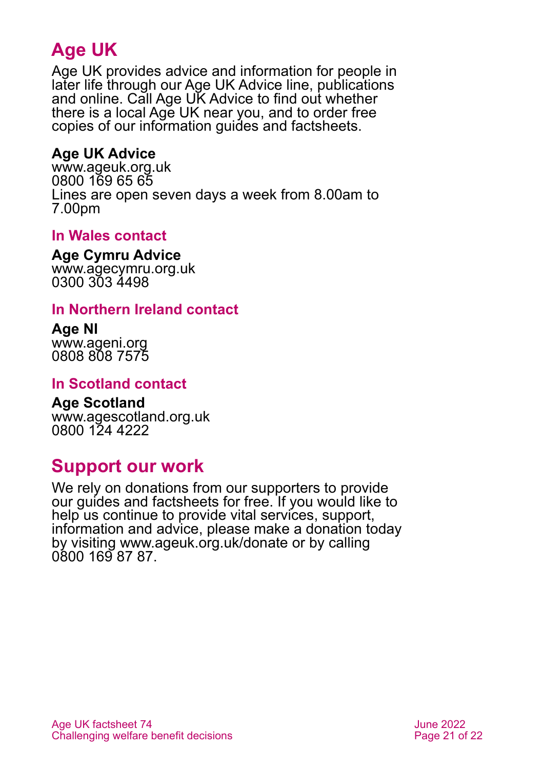# **Age UK**

Age UK provides advice and information for people in later life through our Age UK Advice line, publications and online. Call Age UK Advice to find out whether there is a local Age UK near you, and to order free copies of our information guides and factsheets.

## <span id="page-20-2"></span>**Age UK Advice**

[www.ageuk.org.uk](http://www.ageuk.org.uk/) 0800 169 65 65 Lines are open seven days a week from 8.00am to 7.00pm

### <span id="page-20-3"></span>**In Wales contact**

**Age Cymru Advice**

[www.agecymru.org.uk](http://www.agecymru.org.uk/) 0300 303 4498

### <span id="page-20-1"></span>**In Northern Ireland contact**

**Age NI** [www.ageni.org](http://www.ageni.org/) 0808 808 7575

#### <span id="page-20-0"></span>**In Scotland contact**

<span id="page-20-4"></span>**Age Scotland** [www.agescotland.org.uk](http://www.agescotland.org.uk/) 0800 124 4222

# **Support our work**

We rely on donations from our supporters to provide our guides and factsheets for free. If you would like to help us continue to provide vital services, support, information and advice, please make a donation today by visiting [www.ageuk.org.uk/donate](http://www.ageuk.org.uk/donate) or by calling 0800 169 87 87.